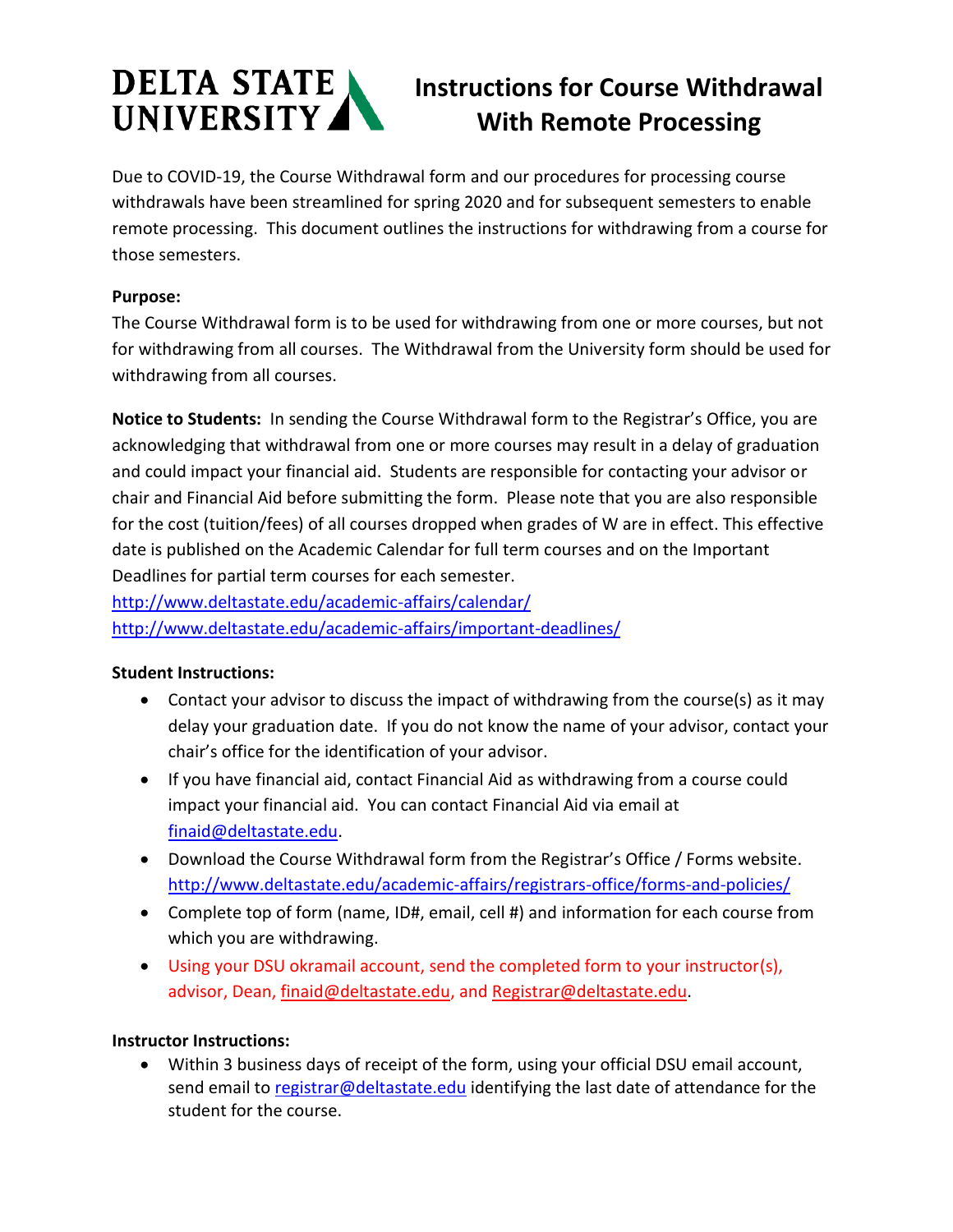# DELTA STATE UNIVERSITY

## **Instructions for Course Withdrawal With Remote Processing**

Due to COVID-19, the Course Withdrawal form and our procedures for processing course withdrawals have been streamlined for spring 2020 and for subsequent semesters to enable remote processing. This document outlines the instructions for withdrawing from a course for those semesters.

#### **Purpose:**

The Course Withdrawal form is to be used for withdrawing from one or more courses, but not for withdrawing from all courses. The Withdrawal from the University form should be used for withdrawing from all courses.

**Notice to Students:** In sending the Course Withdrawal form to the Registrar's Office, you are acknowledging that withdrawal from one or more courses may result in a delay of graduation and could impact your financial aid. Students are responsible for contacting your advisor or chair and Financial Aid before submitting the form. Please note that you are also responsible for the cost (tuition/fees) of all courses dropped when grades of W are in effect. This effective date is published on the Academic Calendar for full term courses and on the Important Deadlines for partial term courses for each semester.

<http://www.deltastate.edu/academic-affairs/calendar/> <http://www.deltastate.edu/academic-affairs/important-deadlines/>

#### **Student Instructions:**

- Contact your advisor to discuss the impact of withdrawing from the course(s) as it may delay your graduation date. If you do not know the name of your advisor, contact your chair's office for the identification of your advisor.
- If you have financial aid, contact Financial Aid as withdrawing from a course could impact your financial aid. You can contact Financial Aid via email at [finaid@deltastate.edu.](mailto:finaid@deltastate.edu)
- Download the Course Withdrawal form from the Registrar's Office / Forms website. <http://www.deltastate.edu/academic-affairs/registrars-office/forms-and-policies/>
- Complete top of form (name, ID#, email, cell #) and information for each course from which you are withdrawing.
- Using your DSU okramail account, send the completed form to your instructor(s), advisor, Dean, [finaid@deltastate.edu,](mailto:finaid@deltastate.edu) and [Registrar@deltastate.edu.](mailto:Registrar@deltastate.edu)

### **Instructor Instructions:**

• Within 3 business days of receipt of the form, using your official DSU email account, send email to [registrar@deltastate.edu](mailto:registrar@deltastate.edu) identifying the last date of attendance for the student for the course.